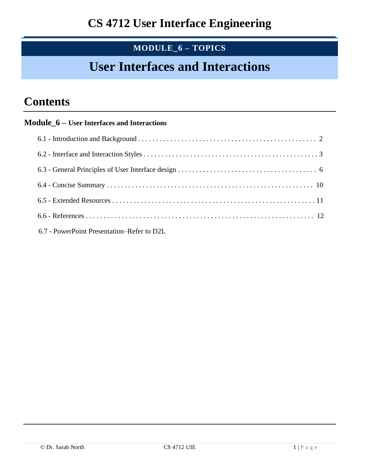# **MODULE\_6 – TOPICS**

# **User Interfaces and Interactions**

# **Contents**

### **Module\_6 – User Interfaces and Interactions**

| 6.7 - PowerPoint Presentation–Refer to D2L |
|--------------------------------------------|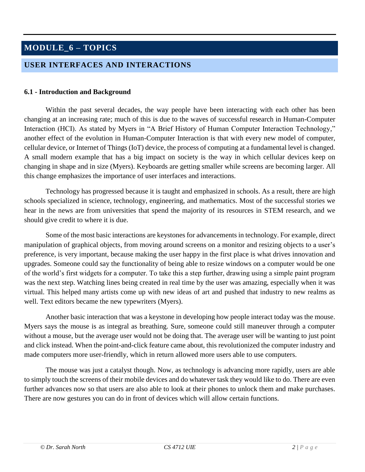## **MODULE\_6 – TOPICS**

#### **USER INTERFACES AND INTERACTIONS**

#### **6.1 - Introduction and Background**

Within the past several decades, the way people have been interacting with each other has been changing at an increasing rate; much of this is due to the waves of successful research in Human-Computer Interaction (HCI). As stated by Myers in "A Brief History of Human Computer Interaction Technology," another effect of the evolution in Human-Computer Interaction is that with every new model of computer, cellular device, or Internet of Things (IoT) device, the process of computing at a fundamental level is changed. A small modern example that has a big impact on society is the way in which cellular devices keep on changing in shape and in size (Myers). Keyboards are getting smaller while screens are becoming larger. All this change emphasizes the importance of user interfaces and interactions.

Technology has progressed because it is taught and emphasized in schools. As a result, there are high schools specialized in science, technology, engineering, and mathematics. Most of the successful stories we hear in the news are from universities that spend the majority of its resources in STEM research, and we should give credit to where it is due.

Some of the most basic interactions are keystones for advancements in technology. For example, direct manipulation of graphical objects, from moving around screens on a monitor and resizing objects to a user's preference, is very important, because making the user happy in the first place is what drives innovation and upgrades. Someone could say the functionality of being able to resize windows on a computer would be one of the world's first widgets for a computer. To take this a step further, drawing using a simple paint program was the next step. Watching lines being created in real time by the user was amazing, especially when it was virtual. This helped many artists come up with new ideas of art and pushed that industry to new realms as well. Text editors became the new typewriters (Myers).

Another basic interaction that was a keystone in developing how people interact today was the mouse. Myers says the mouse is as integral as breathing. Sure, someone could still maneuver through a computer without a mouse, but the average user would not be doing that. The average user will be wanting to just point and click instead. When the point-and-click feature came about, this revolutionized the computer industry and made computers more user-friendly, which in return allowed more users able to use computers.

The mouse was just a catalyst though. Now, as technology is advancing more rapidly, users are able to simply touch the screens of their mobile devices and do whatever task they would like to do. There are even further advances now so that users are also able to look at their phones to unlock them and make purchases. There are now gestures you can do in front of devices which will allow certain functions.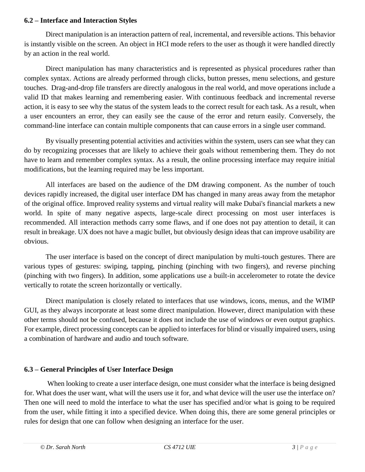#### **6.2 – Interface and Interaction Styles**

Direct manipulation is an interaction pattern of real, incremental, and reversible actions. This behavior is instantly visible on the screen. An object in HCI mode refers to the user as though it were handled directly by an action in the real world.

Direct manipulation has many characteristics and is represented as physical procedures rather than complex syntax. Actions are already performed through clicks, button presses, menu selections, and gesture touches. Drag-and-drop file transfers are directly analogous in the real world, and move operations include a valid ID that makes learning and remembering easier. With continuous feedback and incremental reverse action, it is easy to see why the status of the system leads to the correct result for each task. As a result, when a user encounters an error, they can easily see the cause of the error and return easily. Conversely, the command-line interface can contain multiple components that can cause errors in a single user command.

By visually presenting potential activities and activities within the system, users can see what they can do by recognizing processes that are likely to achieve their goals without remembering them. They do not have to learn and remember complex syntax. As a result, the online processing interface may require initial modifications, but the learning required may be less important.

All interfaces are based on the audience of the DM drawing component. As the number of touch devices rapidly increased, the digital user interface DM has changed in many areas away from the metaphor of the original office. Improved reality systems and virtual reality will make Dubai's financial markets a new world. In spite of many negative aspects, large-scale direct processing on most user interfaces is recommended. All interaction methods carry some flaws, and if one does not pay attention to detail, it can result in breakage. UX does not have a magic bullet, but obviously design ideas that can improve usability are obvious.

The user interface is based on the concept of direct manipulation by multi-touch gestures. There are various types of gestures: swiping, tapping, pinching (pinching with two fingers), and reverse pinching (pinching with two fingers). In addition, some applications use a built-in accelerometer to rotate the device vertically to rotate the screen horizontally or vertically.

Direct manipulation is closely related to interfaces that use windows, icons, menus, and the WIMP GUI, as they always incorporate at least some direct manipulation. However, direct manipulation with these other terms should not be confused, because it does not include the use of windows or even output graphics. For example, direct processing concepts can be applied to interfaces for blind or visually impaired users, using a combination of hardware and audio and touch software.

#### **6.3 – General Principles of User Interface Design**

When looking to create a user interface design, one must consider what the interface is being designed for. What does the user want, what will the users use it for, and what device will the user use the interface on? Then one will need to mold the interface to what the user has specified and/or what is going to be required from the user, while fitting it into a specified device. When doing this, there are some general principles or rules for design that one can follow when designing an interface for the user.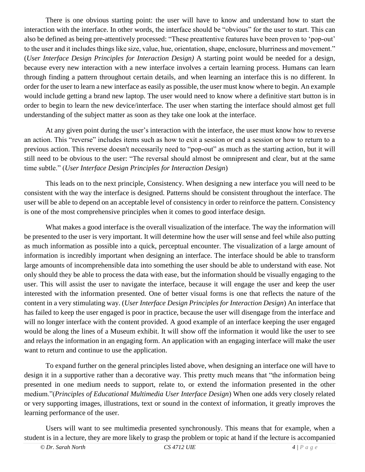There is one obvious starting point: the user will have to know and understand how to start the interaction with the interface. In other words, the interface should be "obvious" for the user to start. This can also be defined as being pre-attentively processed: "These preattentive features have been proven to 'pop-out' to the user and it includes things like size, value, hue, orientation, shape, enclosure, blurriness and movement." (*User Interface Design Principles for Interaction Design)* A starting point would be needed for a design, because every new interaction with a new interface involves a certain learning process. Humans can learn through finding a pattern throughout certain details, and when learning an interface this is no different. In order for the user to learn a new interface as easily as possible, the user must know where to begin. An example would include getting a brand new laptop. The user would need to know where a definitive start button is in order to begin to learn the new device/interface. The user when starting the interface should almost get full understanding of the subject matter as soon as they take one look at the interface.

At any given point during the user's interaction with the interface, the user must know how to reverse an action. This "reverse" includes items such as how to exit a session or end a session or how to return to a previous action. This reverse doesn't necessarily need to "pop-out" as much as the starting action, but it will still need to be obvious to the user: "The reversal should almost be omnipresent and clear, but at the same time subtle." (*User Interface Design Principles for Interaction Design*)

This leads on to the next principle, Consistency. When designing a new interface you will need to be consistent with the way the interface is designed. Patterns should be consistent throughout the interface. The user will be able to depend on an acceptable level of consistency in order to reinforce the pattern. Consistency is one of the most comprehensive principles when it comes to good interface design.

What makes a good interface is the overall visualization of the interface. The way the information will be presented to the user is very important. It will determine how the user will sense and feel while also putting as much information as possible into a quick, perceptual encounter. The visualization of a large amount of information is incredibly important when designing an interface. The interface should be able to transform large amounts of incomprehensible data into something the user should be able to understand with ease. Not only should they be able to process the data with ease, but the information should be visually engaging to the user. This will assist the user to navigate the interface, because it will engage the user and keep the user interested with the information presented. One of better visual forms is one that reflects the nature of the content in a very stimulating way. (*User Interface Design Principles for Interaction Design*) An interface that has failed to keep the user engaged is poor in practice, because the user will disengage from the interface and will no longer interface with the content provided. A good example of an interface keeping the user engaged would be along the lines of a Museum exhibit. It will show off the information it would like the user to see and relays the information in an engaging form. An application with an engaging interface will make the user want to return and continue to use the application.

To expand further on the general principles listed above, when designing an interface one will have to design it in a supportive rather than a decorative way. This pretty much means that "the information being presented in one medium needs to support, relate to, or extend the information presented in the other medium."(*Principles of Educational Multimedia User Interface Design*) When one adds very closely related or very supporting images, illustrations, text or sound in the context of information, it greatly improves the learning performance of the user.

Users will want to see multimedia presented synchronously. This means that for example, when a student is in a lecture, they are more likely to grasp the problem or topic at hand if the lecture is accompanied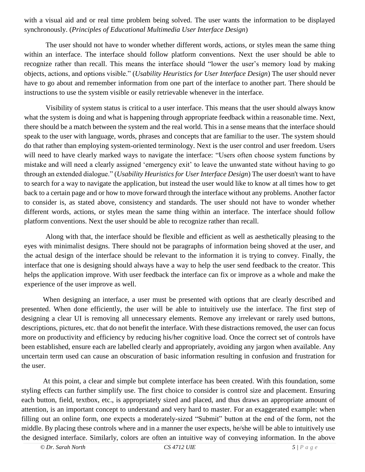with a visual aid and or real time problem being solved. The user wants the information to be displayed synchronously. (*Principles of Educational Multimedia User Interface Design*)

The user should not have to wonder whether different words, actions, or styles mean the same thing within an interface. The interface should follow platform conventions. Next the user should be able to recognize rather than recall. This means the interface should "lower the user's memory load by making objects, actions, and options visible." (*Usability Heuristics for User Interface Design*) The user should never have to go about and remember information from one part of the interface to another part. There should be instructions to use the system visible or easily retrievable whenever in the interface.

Visibility of system status is critical to a user interface. This means that the user should always know what the system is doing and what is happening through appropriate feedback within a reasonable time. Next, there should be a match between the system and the real world. This in a sense means that the interface should speak to the user with language, words, phrases and concepts that are familiar to the user. The system should do that rather than employing system-oriented terminology. Next is the user control and user freedom. Users will need to have clearly marked ways to navigate the interface: "Users often choose system functions by mistake and will need a clearly assigned 'emergency exit' to leave the unwanted state without having to go through an extended dialogue." (*Usability Heuristics for User Interface Design*) The user doesn't want to have to search for a way to navigate the application, but instead the user would like to know at all times how to get back to a certain page and or how to move forward through the interface without any problems. Another factor to consider is, as stated above, consistency and standards. The user should not have to wonder whether different words, actions, or styles mean the same thing within an interface. The interface should follow platform conventions. Next the user should be able to recognize rather than recall.

Along with that, the interface should be flexible and efficient as well as aesthetically pleasing to the eyes with minimalist designs. There should not be paragraphs of information being shoved at the user, and the actual design of the interface should be relevant to the information it is trying to convey. Finally, the interface that one is designing should always have a way to help the user send feedback to the creator. This helps the application improve. With user feedback the interface can fix or improve as a whole and make the experience of the user improve as well.

When designing an interface, a user must be presented with options that are clearly described and presented. When done efficiently, the user will be able to intuitively use the interface. The first step of designing a clear UI is removing all unnecessary elements. Remove any irrelevant or rarely used buttons, descriptions, pictures, etc. that do not benefit the interface. With these distractions removed, the user can focus more on productivity and efficiency by reducing his/her cognitive load. Once the correct set of controls have been established, ensure each are labelled clearly and appropriately, avoiding any jargon when available. Any uncertain term used can cause an obscuration of basic information resulting in confusion and frustration for the user.

At this point, a clear and simple but complete interface has been created. With this foundation, some styling effects can further simplify use. The first choice to consider is control size and placement. Ensuring each button, field, textbox, etc., is appropriately sized and placed, and thus draws an appropriate amount of attention, is an important concept to understand and very hard to master. For an exaggerated example: when filling out an online form, one expects a moderately-sized "Submit" button at the end of the form, not the middle. By placing these controls where and in a manner the user expects, he/she will be able to intuitively use the designed interface. Similarly, colors are often an intuitive way of conveying information. In the above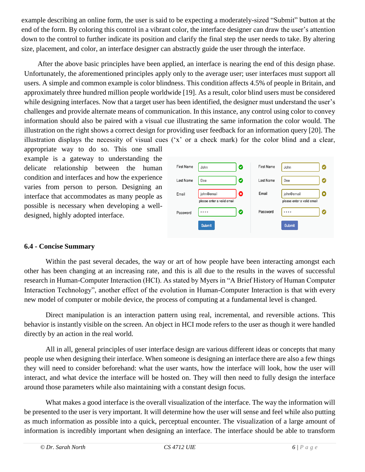example describing an online form, the user is said to be expecting a moderately-sized "Submit" button at the end of the form. By coloring this control in a vibrant color, the interface designer can draw the user's attention down to the control to further indicate its position and clarify the final step the user needs to take. By altering size, placement, and color, an interface designer can abstractly guide the user through the interface.

After the above basic principles have been applied, an interface is nearing the end of this design phase. Unfortunately, the aforementioned principles apply only to the average user; user interfaces must support all users. A simple and common example is color blindness. This condition affects 4.5% of people in Britain, and approximately three hundred million people worldwide [19]. As a result, color blind users must be considered while designing interfaces. Now that a target user has been identified, the designer must understand the user's challenges and provide alternate means of communication. In this instance, any control using color to convey information should also be paired with a visual cue illustrating the same information the color would. The illustration on the right shows a correct design for providing user feedback for an information query [20]. The illustration displays the necessity of visual cues ('x' or a check mark) for the color blind and a clear,

appropriate way to do so. This one small example is a gateway to understanding the delicate relationship between the human condition and interfaces and how the experience varies from person to person. Designing an interface that accommodates as many people as possible is necessary when developing a welldesigned, highly adopted interface.

| <b>First Name</b> | Ø<br>John                                     | <b>First Name</b> | John<br>Ø                                     |
|-------------------|-----------------------------------------------|-------------------|-----------------------------------------------|
| Last Name         | Ø<br>Doe                                      | Last Name         | Doe<br>Ø                                      |
| Email             | 0<br>john@email<br>please enter a valid email | Email             | john@email<br>Q<br>please enter a valid email |
| Password          | Ø<br>****                                     | Password          | Ø<br>****                                     |
|                   | <b>Submit</b>                                 |                   | Submit                                        |

#### **6.4 - Concise Summary**

Within the past several decades, the way or art of how people have been interacting amongst each other has been changing at an increasing rate, and this is all due to the results in the waves of successful research in Human-Computer Interaction (HCI). As stated by Myers in "A Brief History of Human Computer Interaction Technology", another effect of the evolution in Human-Computer Interaction is that with every new model of computer or mobile device, the process of computing at a fundamental level is changed.

Direct manipulation is an interaction pattern using real, incremental, and reversible actions. This behavior is instantly visible on the screen. An object in HCI mode refers to the user as though it were handled directly by an action in the real world.

All in all, general principles of user interface design are various different ideas or concepts that many people use when designing their interface. When someone is designing an interface there are also a few things they will need to consider beforehand: what the user wants, how the interface will look, how the user will interact, and what device the interface will be hosted on. They will then need to fully design the interface around those parameters while also maintaining with a constant design focus.

What makes a good interface is the overall visualization of the interface. The way the information will be presented to the user is very important. It will determine how the user will sense and feel while also putting as much information as possible into a quick, perceptual encounter. The visualization of a large amount of information is incredibly important when designing an interface. The interface should be able to transform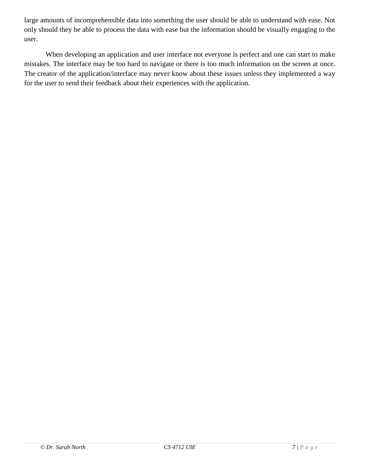large amounts of incomprehensible data into something the user should be able to understand with ease. Not only should they be able to process the data with ease but the information should be visually engaging to the user.

When developing an application and user interface not everyone is perfect and one can start to make mistakes. The interface may be too hard to navigate or there is too much information on the screen at once. The creator of the application/interface may never know about these issues unless they implemented a way for the user to send their feedback about their experiences with the application.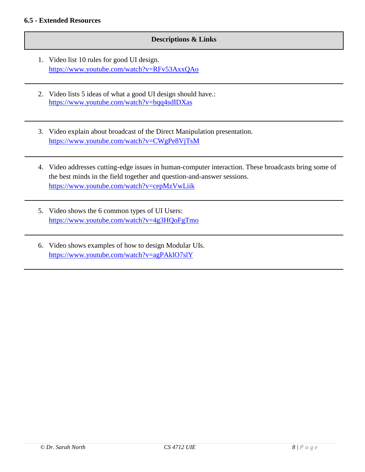#### **Descriptions & Links**

- 1. Video list 10 rules for good UI design. <https://www.youtube.com/watch?v=RFv53AxxQAo>
- 2. Video lists 5 ideas of what a good UI design should have.: <https://www.youtube.com/watch?v=bqq4sdIDXas>
- 3. Video explain about broadcast of the Direct Manipulation presentation. <https://www.youtube.com/watch?v=CWgPe8VjTsM>
- 4. Video addresses cutting-edge issues in human-computer interaction. These broadcasts bring some of the best minds in the field together and question-and-answer sessions. <https://www.youtube.com/watch?v=cepMzVwLiik>
- 5. Video shows the 6 common types of UI Users: <https://www.youtube.com/watch?v=4g3HQoFgTmo>
- 6. Video shows examples of how to design Modular UIs. <https://www.youtube.com/watch?v=agPAklO7slY>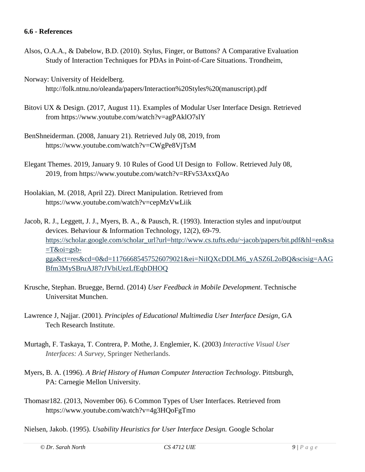#### **6.6 - References**

- Alsos, O.A.A., & Dabelow, B.D. (2010). Stylus, Finger, or Buttons? A Comparative Evaluation Study of Interaction Techniques for PDAs in Point-of-Care Situations. Trondheim,
- Norway: University of Heidelberg. http://folk.ntnu.no/oleanda/papers/Interaction%20Styles%20(manuscript).pdf
- Bitovi UX & Design. (2017, August 11). Examples of Modular User Interface Design. Retrieved from https://www.youtube.com/watch?v=agPAklO7slY
- BenShneiderman. (2008, January 21). Retrieved July 08, 2019, from https://www.youtube.com/watch?v=CWgPe8VjTsM
- Elegant Themes. 2019, January 9. 10 Rules of Good UI Design to Follow. Retrieved July 08, 2019, from https://www.youtube.com/watch?v=RFv53AxxQAo
- Hoolakian, M. (2018, April 22). Direct Manipulation. Retrieved from https://www.youtube.com/watch?v=cepMzVwLiik

Jacob, R. J., Leggett, J. J., Myers, B. A., & Pausch, R. (1993). Interaction styles and input/output devices. Behaviour & Information Technology, 12(2), 69-79. [https://scholar.google.com/scholar\\_url?url=http://www.cs.tufts.edu/~jacob/papers/bit.pdf&hl=en&sa](https://scholar.google.com/scholar_url?url=http://www.cs.tufts.edu/~jacob/papers/bit.pdf&hl=en&sa=T&oi=gsb-gga&ct=res&cd=0&d=11766685457526079021&ei=NiIQXcDDLM6_yASZ6L2oBQ&scisig=AAGBfm3MySBruAJ87rJVbiUezLfEqbDHOQ)  $=T&oi=gsb$ [gga&ct=res&cd=0&d=11766685457526079021&ei=NiIQXcDDLM6\\_yASZ6L2oBQ&scisig=AAG](https://scholar.google.com/scholar_url?url=http://www.cs.tufts.edu/~jacob/papers/bit.pdf&hl=en&sa=T&oi=gsb-gga&ct=res&cd=0&d=11766685457526079021&ei=NiIQXcDDLM6_yASZ6L2oBQ&scisig=AAGBfm3MySBruAJ87rJVbiUezLfEqbDHOQ) [Bfm3MySBruAJ87rJVbiUezLfEqbDHOQ](https://scholar.google.com/scholar_url?url=http://www.cs.tufts.edu/~jacob/papers/bit.pdf&hl=en&sa=T&oi=gsb-gga&ct=res&cd=0&d=11766685457526079021&ei=NiIQXcDDLM6_yASZ6L2oBQ&scisig=AAGBfm3MySBruAJ87rJVbiUezLfEqbDHOQ)

- Krusche, Stephan. Bruegge, Bernd. (2014) *User Feedback in Mobile Development*. Technische Universitat Munchen.
- Lawrence J, Najjar. (2001). *Principles of Educational Multimedia User Interface Design*, GA Tech Research Institute.
- Murtagh, F. Taskaya, T. Contrera, P. Mothe, J. Englemier, K. (2003) *Interactive Visual User Interfaces: A Survey*, Springer Netherlands.
- Myers, B. A. (1996). *A Brief History of Human Computer Interaction Technology*. Pittsburgh, PA: Carnegie Mellon University.
- Thomasr182. (2013, November 06). 6 Common Types of User Interfaces. Retrieved from https://www.youtube.com/watch?v=4g3HQoFgTmo
- Nielsen, Jakob. (1995). *Usability Heuristics for User Interface Design.* Google Scholar